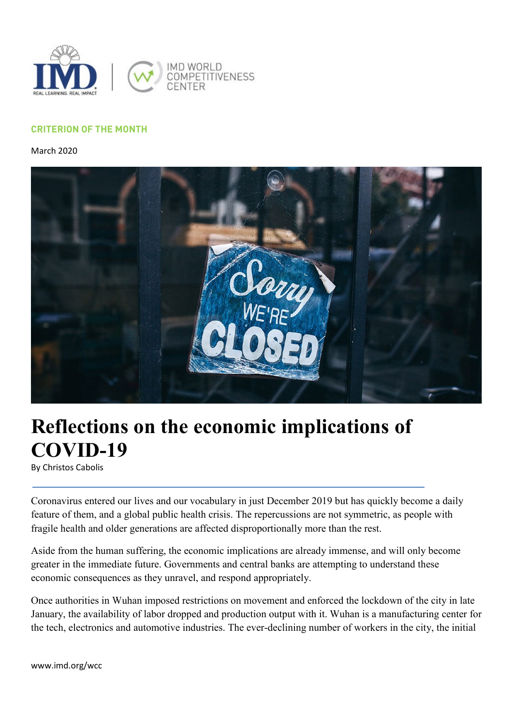

## **CRITERION OF THE MONTH**

March 2020



## **Reflections on the economic implications of COVID-19**

By Christos Cabolis

Coronavirus entered our lives and our vocabulary in just December 2019 but has quickly become a daily feature of them, and a global public health crisis. The repercussions are not symmetric, as people with fragile health and older generations are affected disproportionally more than the rest.

Aside from the human suffering, the economic implications are already immense, and will only become greater in the immediate future. Governments and central banks are attempting to understand these economic consequences as they unravel, and respond appropriately.

Once authorities in Wuhan imposed restrictions on movement and enforced the lockdown of the city in late January, the availability of labor dropped and production output with it. Wuhan is a manufacturing center for the tech, electronics and automotive industries. The ever-declining number of workers in the city, the initial

www.imd.org/wcc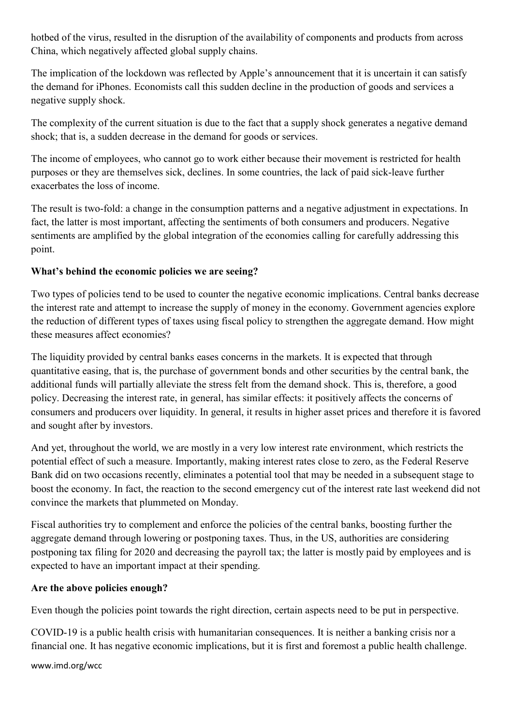hotbed of the virus, resulted in the disruption of the availability of components and products from across China, which negatively affected global supply chains.

The implication of the lockdown was reflected by Apple's announcement that it is uncertain it can satisfy the demand for iPhones. Economists call this sudden decline in the production of goods and services a negative supply shock.

The complexity of the current situation is due to the fact that a supply shock generates a negative demand shock; that is, a sudden decrease in the demand for goods or services.

The income of employees, who cannot go to work either because their movement is restricted for health purposes or they are themselves sick, declines. In some countries, the lack of paid sick-leave further exacerbates the loss of income.

The result is two-fold: a change in the consumption patterns and a negative adjustment in expectations. In fact, the latter is most important, affecting the sentiments of both consumers and producers. Negative sentiments are amplified by the global integration of the economies calling for carefully addressing this point.

## **What's behind the economic policies we are seeing?**

Two types of policies tend to be used to counter the negative economic implications. Central banks decrease the interest rate and attempt to increase the supply of money in the economy. Government agencies explore the reduction of different types of taxes using fiscal policy to strengthen the aggregate demand. How might these measures affect economies?

The liquidity provided by central banks eases concerns in the markets. It is expected that through quantitative easing, that is, the purchase of government bonds and other securities by the central bank, the additional funds will partially alleviate the stress felt from the demand shock. This is, therefore, a good policy. Decreasing the interest rate, in general, has similar effects: it positively affects the concerns of consumers and producers over liquidity. In general, it results in higher asset prices and therefore it is favored and sought after by investors.

And yet, throughout the world, we are mostly in a very low interest rate environment, which restricts the potential effect of such a measure. Importantly, making interest rates close to zero, as the Federal Reserve Bank did on two occasions recently, eliminates a potential tool that may be needed in a subsequent stage to boost the economy. In fact, the reaction to the second emergency cut of the interest rate last weekend did not convince the markets that plummeted on Monday.

Fiscal authorities try to complement and enforce the policies of the central banks, boosting further the aggregate demand through lowering or postponing taxes. Thus, in the US, authorities are considering postponing tax filing for 2020 and decreasing the payroll tax; the latter is mostly paid by employees and is expected to have an important impact at their spending.

## **Are the above policies enough?**

Even though the policies point towards the right direction, certain aspects need to be put in perspective.

COVID-19 is a public health crisis with humanitarian consequences. It is neither a banking crisis nor a financial one. It has negative economic implications, but it is first and foremost a public health challenge.

www.imd.org/wcc